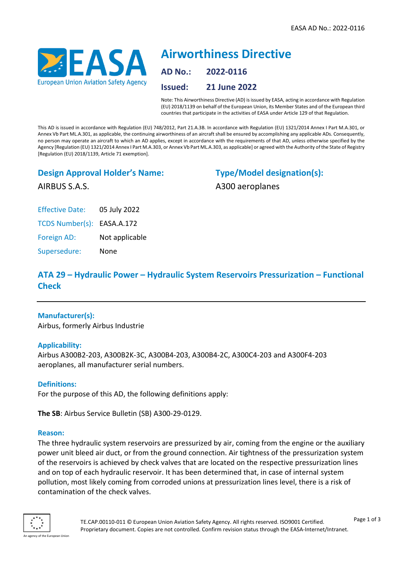

# **Airworthiness Directive AD No.: 2022-0116 Issued: 21 June 2022**

Note: This Airworthiness Directive (AD) is issued by EASA, acting in accordance with Regulation (EU) 2018/1139 on behalf of the European Union, its Member States and of the European third countries that participate in the activities of EASA under Article 129 of that Regulation.

This AD is issued in accordance with Regulation (EU) 748/2012, Part 21.A.3B. In accordance with Regulation (EU) 1321/2014 Annex I Part M.A.301, or Annex Vb Part ML.A.301, as applicable, the continuing airworthiness of an aircraft shall be ensured by accomplishing any applicable ADs. Consequently, no person may operate an aircraft to which an AD applies, except in accordance with the requirements of that AD, unless otherwise specified by the Agency [Regulation (EU) 1321/2014 Annex I Part M.A.303, or Annex Vb Part ML.A.303, as applicable] or agreed with the Authority of the State of Registry [Regulation (EU) 2018/1139, Article 71 exemption].

## **Design Approval Holder's Name:**

AIRBUS S.A.S.

**Type/Model designation(s):** A300 aeroplanes

Effective Date: 05 July 2022 TCDS Number(s): EASA.A.172 Foreign AD: Not applicable

Supersedure: None

## **ATA 29 – Hydraulic Power – Hydraulic System Reservoirs Pressurization – Functional Check**

## **Manufacturer(s):**

Airbus, formerly Airbus Industrie

## **Applicability:**

Airbus A300B2-203, A300B2K-3C, A300B4-203, A300B4-2C, A300C4-203 and A300F4-203 aeroplanes, all manufacturer serial numbers.

## **Definitions:**

For the purpose of this AD, the following definitions apply:

**The SB**: Airbus Service Bulletin (SB) A300-29-0129.

#### **Reason:**

The three hydraulic system reservoirs are pressurized by air, coming from the engine or the auxiliary power unit bleed air duct, or from the ground connection. Air tightness of the pressurization system of the reservoirs is achieved by check valves that are located on the respective pressurization lines and on top of each hydraulic reservoir. It has been determined that, in case of internal system pollution, most likely coming from corroded unions at pressurization lines level, there is a risk of contamination of the check valves.

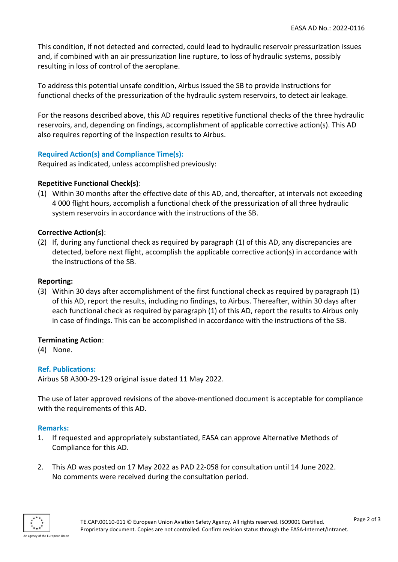This condition, if not detected and corrected, could lead to hydraulic reservoir pressurization issues and, if combined with an air pressurization line rupture, to loss of hydraulic systems, possibly resulting in loss of control of the aeroplane.

To address this potential unsafe condition, Airbus issued the SB to provide instructions for functional checks of the pressurization of the hydraulic system reservoirs, to detect air leakage.

For the reasons described above, this AD requires repetitive functional checks of the three hydraulic reservoirs, and, depending on findings, accomplishment of applicable corrective action(s). This AD also requires reporting of the inspection results to Airbus.

## **Required Action(s) and Compliance Time(s):**

Required as indicated, unless accomplished previously:

## **Repetitive Functional Check(s)**:

(1) Within 30 months after the effective date of this AD, and, thereafter, at intervals not exceeding 4 000 flight hours, accomplish a functional check of the pressurization of all three hydraulic system reservoirs in accordance with the instructions of the SB.

#### **Corrective Action(s)**:

(2) If, during any functional check as required by paragraph (1) of this AD, any discrepancies are detected, before next flight, accomplish the applicable corrective action(s) in accordance with the instructions of the SB.

#### **Reporting:**

(3) Within 30 days after accomplishment of the first functional check as required by paragraph (1) of this AD, report the results, including no findings, to Airbus. Thereafter, within 30 days after each functional check as required by paragraph (1) of this AD, report the results to Airbus only in case of findings. This can be accomplished in accordance with the instructions of the SB.

#### **Terminating Action**:

(4) None.

#### **Ref. Publications:**

Airbus SB A300-29-129 original issue dated 11 May 2022.

The use of later approved revisions of the above-mentioned document is acceptable for compliance with the requirements of this AD.

#### **Remarks:**

- 1. If requested and appropriately substantiated, EASA can approve Alternative Methods of Compliance for this AD.
- 2. This AD was posted on 17 May 2022 as PAD 22-058 for consultation until 14 June 2022. No comments were received during the consultation period.